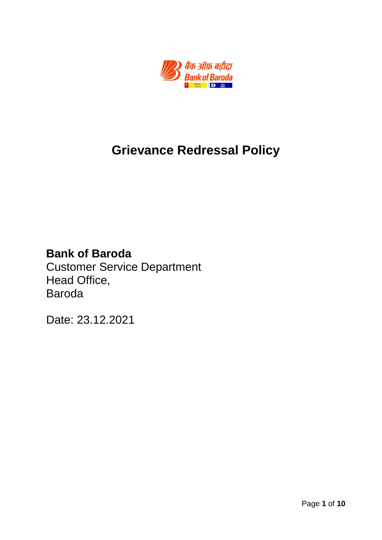

# **Grievance Redressal Policy**

## **Bank of Baroda**

Customer Service Department Head Office, Baroda

Date: 23.12.2021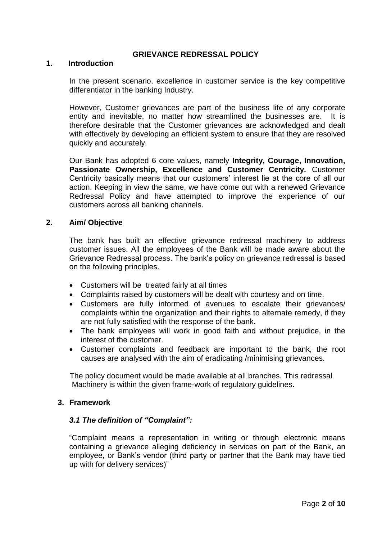## **GRIEVANCE REDRESSAL POLICY**

#### **1. Introduction**

In the present scenario, excellence in customer service is the key competitive differentiator in the banking Industry.

However, Customer grievances are part of the business life of any corporate entity and inevitable, no matter how streamlined the businesses are. It is therefore desirable that the Customer grievances are acknowledged and dealt with effectively by developing an efficient system to ensure that they are resolved quickly and accurately.

Our Bank has adopted 6 core values, namely **Integrity, Courage, Innovation, Passionate Ownership, Excellence and Customer Centricity.** Customer Centricity basically means that our customers' interest lie at the core of all our action. Keeping in view the same, we have come out with a renewed Grievance Redressal Policy and have attempted to improve the experience of our customers across all banking channels.

#### **2. Aim/ Objective**

The bank has built an effective grievance redressal machinery to address customer issues. All the employees of the Bank will be made aware about the Grievance Redressal process. The bank's policy on grievance redressal is based on the following principles.

- Customers will be treated fairly at all times
- Complaints raised by customers will be dealt with courtesy and on time.
- Customers are fully informed of avenues to escalate their grievances/ complaints within the organization and their rights to alternate remedy, if they are not fully satisfied with the response of the bank.
- The bank employees will work in good faith and without prejudice, in the interest of the customer.
- Customer complaints and feedback are important to the bank, the root causes are analysed with the aim of eradicating /minimising grievances.

 The policy document would be made available at all branches. This redressal Machinery is within the given frame-work of regulatory guidelines.

#### **3. Framework**

#### *3.1 The definition of "Complaint":*

"Complaint means a representation in writing or through electronic means containing a grievance alleging deficiency in services on part of the Bank, an employee, or Bank's vendor (third party or partner that the Bank may have tied up with for delivery services)"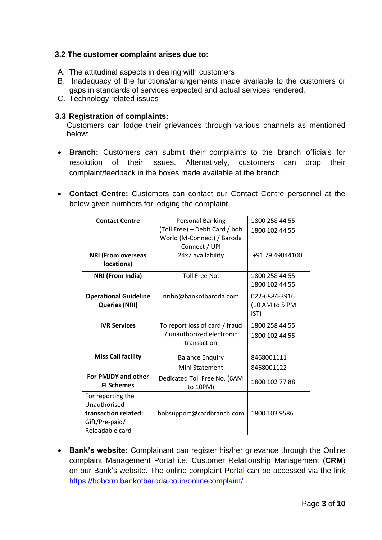## **3.2 The customer complaint arises due to:**

- A. The attitudinal aspects in dealing with customers
- B. Inadequacy of the functions/arrangements made available to the customers or gaps in standards of services expected and actual services rendered.
- C. Technology related issues

## **3.3 Registration of complaints:**

Customers can lodge their grievances through various channels as mentioned below:

- **Branch:** Customers can submit their complaints to the branch officials for resolution of their issues. Alternatively, customers can drop their complaint/feedback in the boxes made available at the branch.
- **Contact Centre:** Customers can contact our Contact Centre personnel at the below given numbers for lodging the complaint.

| <b>Contact Centre</b>                    | <b>Personal Banking</b>                  | 1800 258 44 55  |
|------------------------------------------|------------------------------------------|-----------------|
|                                          | (Toll Free) - Debit Card / bob           | 1800 102 44 55  |
|                                          | World (M-Connect) / Baroda               |                 |
|                                          | Connect / UPI                            |                 |
| <b>NRI (From overseas</b>                | 24x7 availability                        | +91 79 49044100 |
| locations)                               |                                          |                 |
| <b>NRI (From India)</b>                  | Toll Free No.                            | 1800 258 44 55  |
|                                          |                                          | 1800 102 44 55  |
| <b>Operational Guideline</b>             | nribo@bankofbaroda.com                   | 022-6884-3916   |
| <b>Queries (NRI)</b>                     |                                          | (10 AM to 5 PM  |
|                                          |                                          | IST)            |
| <b>IVR Services</b>                      | To report loss of card / fraud           | 1800 258 44 55  |
|                                          | / unauthorized electronic                | 1800 102 44 55  |
|                                          | transaction                              |                 |
| <b>Miss Call facility</b>                | <b>Balance Enquiry</b>                   | 8468001111      |
|                                          | Mini Statement                           | 8468001122      |
| For PMJDY and other<br><b>FI Schemes</b> | Dedicated Toll Free No. (6AM<br>to 10PM) | 1800 102 77 88  |
| For reporting the                        |                                          |                 |
| Unauthorised                             |                                          |                 |
| transaction related:                     | bobsupport@cardbranch.com                | 1800 103 9586   |
| Gift/Pre-paid/                           |                                          |                 |
| Reloadable card -                        |                                          |                 |

 **Bank's website:** Complainant can register his/her grievance through the Online complaint Management Portal i.e. Customer Relationship Management (**CRM**) on our Bank's website. The online complaint Portal can be accessed via the link <https://bobcrm.bankofbaroda.co.in/onlinecomplaint/> .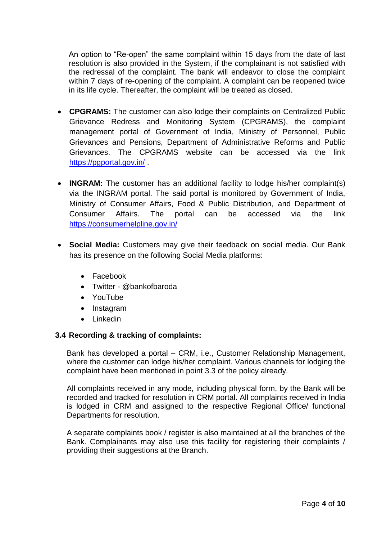An option to "Re-open" the same complaint within 15 days from the date of last resolution is also provided in the System, if the complainant is not satisfied with the redressal of the complaint*.* The bank will endeavor to close the complaint within 7 days of re-opening of the complaint. A complaint can be reopened twice in its life cycle. Thereafter, the complaint will be treated as closed.

- **CPGRAMS:** The customer can also lodge their complaints on Centralized Public Grievance Redress and Monitoring System (CPGRAMS), the complaint management portal of Government of India, Ministry of Personnel, Public Grievances and Pensions, Department of Administrative Reforms and Public Grievances. The CPGRAMS website can be accessed via the link https://paportal.gov.in/.
- **INGRAM:** The customer has an additional facility to lodge his/her complaint(s) via the INGRAM portal. The said portal is monitored by Government of India, Ministry of Consumer Affairs, Food & Public Distribution, and Department of Consumer Affairs. The portal can be accessed via the link <https://consumerhelpline.gov.in/>
- **Social Media:** Customers may give their feedback on social media. Our Bank has its presence on the following Social Media platforms:
	- Facebook
	- Twitter @bankofbaroda
	- YouTube
	- Instagram
	- Linkedin

## **3.4 Recording & tracking of complaints:**

Bank has developed a portal – CRM, i.e., Customer Relationship Management, where the customer can lodge his/her complaint. Various channels for lodging the complaint have been mentioned in point 3.3 of the policy already.

All complaints received in any mode, including physical form, by the Bank will be recorded and tracked for resolution in CRM portal. All complaints received in India is lodged in CRM and assigned to the respective Regional Office/ functional Departments for resolution.

A separate complaints book / register is also maintained at all the branches of the Bank. Complainants may also use this facility for registering their complaints / providing their suggestions at the Branch.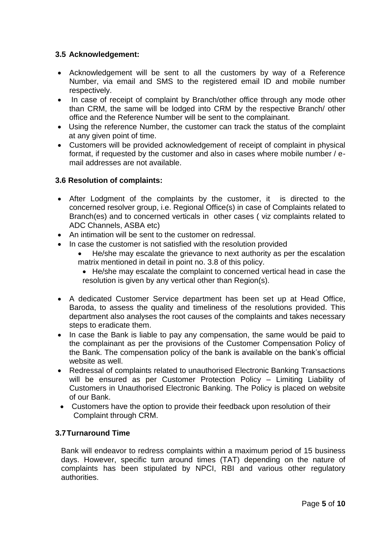## **3.5 Acknowledgement:**

- Acknowledgement will be sent to all the customers by way of a Reference Number, via email and SMS to the registered email ID and mobile number respectively.
- In case of receipt of complaint by Branch/other office through any mode other than CRM, the same will be lodged into CRM by the respective Branch/ other office and the Reference Number will be sent to the complainant.
- Using the reference Number, the customer can track the status of the complaint at any given point of time.
- Customers will be provided acknowledgement of receipt of complaint in physical format, if requested by the customer and also in cases where mobile number / email addresses are not available.

## **3.6 Resolution of complaints:**

- After Lodgment of the complaints by the customer, it is directed to the concerned resolver group, i.e. Regional Office(s) in case of Complaints related to Branch(es) and to concerned verticals in other cases ( viz complaints related to ADC Channels, ASBA etc)
- An intimation will be sent to the customer on redressal.
- In case the customer is not satisfied with the resolution provided
	- He/she may escalate the grievance to next authority as per the escalation matrix mentioned in detail in point no. 3.8 of this policy.
		- He/she may escalate the complaint to concerned vertical head in case the resolution is given by any vertical other than Region(s).
- A dedicated Customer Service department has been set up at Head Office, Baroda, to assess the quality and timeliness of the resolutions provided. This department also analyses the root causes of the complaints and takes necessary steps to eradicate them.
- In case the Bank is liable to pay any compensation, the same would be paid to the complainant as per the provisions of the Customer Compensation Policy of the Bank. The compensation policy of the bank is available on the bank's official website as well.
- Redressal of complaints related to unauthorised Electronic Banking Transactions will be ensured as per Customer Protection Policy - Limiting Liability of Customers in Unauthorised Electronic Banking. The Policy is placed on website of our Bank.
- Customers have the option to provide their feedback upon resolution of their Complaint through CRM.

## **3.7Turnaround Time**

Bank will endeavor to redress complaints within a maximum period of 15 business days. However, specific turn around times (TAT) depending on the nature of complaints has been stipulated by NPCI, RBI and various other regulatory authorities.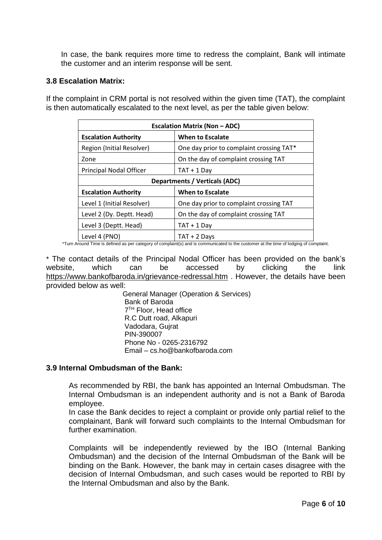In case, the bank requires more time to redress the complaint, Bank will intimate the customer and an interim response will be sent.

#### **3.8 Escalation Matrix:**

If the complaint in CRM portal is not resolved within the given time (TAT), the complaint is then automatically escalated to the next level, as per the table given below:

| <b>Escalation Matrix (Non - ADC)</b> |                                          |  |
|--------------------------------------|------------------------------------------|--|
| <b>Escalation Authority</b>          | <b>When to Escalate</b>                  |  |
| Region (Initial Resolver)            | One day prior to complaint crossing TAT* |  |
| Zone                                 | On the day of complaint crossing TAT     |  |
| Principal Nodal Officer              | $TAT + 1$ Day                            |  |
| <b>Departments / Verticals (ADC)</b> |                                          |  |
| <b>Escalation Authority</b>          | When to Escalate                         |  |
| Level 1 (Initial Resolver)           | One day prior to complaint crossing TAT  |  |
| Level 2 (Dy. Deptt. Head)            | On the day of complaint crossing TAT     |  |
| Level 3 (Deptt. Head)                | $TAT + 1$ Day                            |  |
| Level 4 (PNO)                        | TAT + 2 Davs                             |  |

\*Turn Around Time is defined as per category of complaint(s) and is communicated to the customer at the time of lodging of complaint.

\* The contact details of the Principal Nodal Officer has been provided on the bank's website, which can be accessed by clicking the link <https://www.bankofbaroda.in/grievance-redressal.htm> . However, the details have been provided below as well:

 General Manager (Operation & Services) Bank of Baroda 7 (*p. 1954)*<br>1905 - Johann Barnett, politik fizikar (h. 1906)<br>1906 - Johann Barnett, politik fizikar (h. 1906) **7<sup>TH</sup> Floor, Head office**  R.C Dutt road, Alkapuri Vadodara, Gujrat PIN-390007 Phone No - 0265-2316792 Email – cs.ho@bankofbaroda.com

#### **3.9 Internal Ombudsman of the Bank:**

As recommended by RBI, the bank has appointed an Internal Ombudsman. The Internal Ombudsman is an independent authority and is not a Bank of Baroda employee.

In case the Bank decides to reject a complaint or provide only partial relief to the complainant, Bank will forward such complaints to the Internal Ombudsman for further examination.

Complaints will be independently reviewed by the IBO (Internal Banking Ombudsman) and the decision of the Internal Ombudsman of the Bank will be binding on the Bank. However, the bank may in certain cases disagree with the decision of Internal Ombudsman, and such cases would be reported to RBI by the Internal Ombudsman and also by the Bank.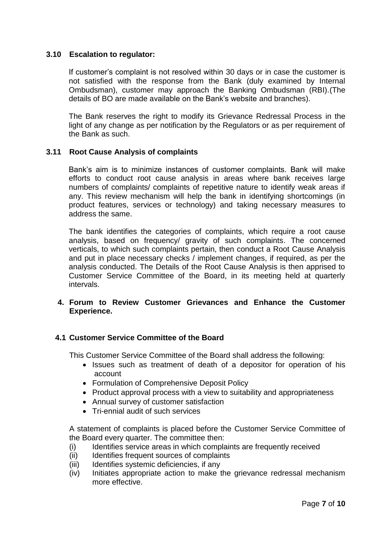## **3.10 Escalation to regulator:**

If customer's complaint is not resolved within 30 days or in case the customer is not satisfied with the response from the Bank (duly examined by Internal Ombudsman), customer may approach the Banking Ombudsman (RBI).(The details of BO are made available on the Bank's website and branches).

The Bank reserves the right to modify its Grievance Redressal Process in the light of any change as per notification by the Regulators or as per requirement of the Bank as such.

## **3.11 Root Cause Analysis of complaints**

Bank's aim is to minimize instances of customer complaints. Bank will make efforts to conduct root cause analysis in areas where bank receives large numbers of complaints/ complaints of repetitive nature to identify weak areas if any. This review mechanism will help the bank in identifying shortcomings (in product features, services or technology) and taking necessary measures to address the same.

The bank identifies the categories of complaints, which require a root cause analysis, based on frequency/ gravity of such complaints. The concerned verticals, to which such complaints pertain, then conduct a Root Cause Analysis and put in place necessary checks / implement changes, if required, as per the analysis conducted. The Details of the Root Cause Analysis is then apprised to Customer Service Committee of the Board, in its meeting held at quarterly intervals.

## **4. Forum to Review Customer Grievances and Enhance the Customer Experience.**

#### **4.1 Customer Service Committee of the Board**

This Customer Service Committee of the Board shall address the following:

- Issues such as treatment of death of a depositor for operation of his account
- Formulation of Comprehensive Deposit Policy
- Product approval process with a view to suitability and appropriateness
- Annual survey of customer satisfaction
- Tri-ennial audit of such services

A statement of complaints is placed before the Customer Service Committee of the Board every quarter. The committee then:

- (i) Identifies service areas in which complaints are frequently received
- (ii) Identifies frequent sources of complaints
- (iii) Identifies systemic deficiencies, if any
- (iv) Initiates appropriate action to make the grievance redressal mechanism more effective.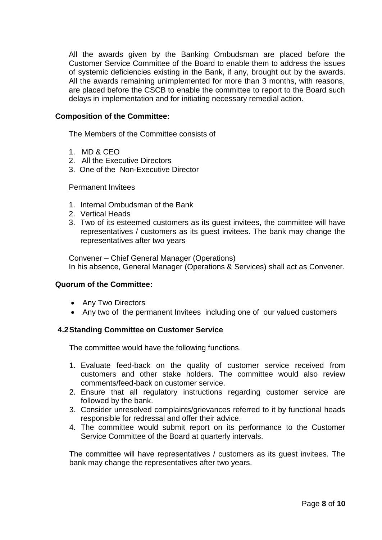All the awards given by the Banking Ombudsman are placed before the Customer Service Committee of the Board to enable them to address the issues of systemic deficiencies existing in the Bank, if any, brought out by the awards. All the awards remaining unimplemented for more than 3 months, with reasons, are placed before the CSCB to enable the committee to report to the Board such delays in implementation and for initiating necessary remedial action.

#### **Composition of the Committee:**

The Members of the Committee consists of

- 1. MD & CEO
- 2. All the Executive Directors
- 3. One of the Non-Executive Director

#### Permanent Invitees

- 1. Internal Ombudsman of the Bank
- 2. Vertical Heads
- 3. Two of its esteemed customers as its guest invitees, the committee will have representatives / customers as its guest invitees. The bank may change the representatives after two years

Convener – Chief General Manager (Operations) In his absence, General Manager (Operations & Services) shall act as Convener.

#### **Quorum of the Committee:**

- Any Two Directors
- Any two of the permanent Invitees including one of our valued customers

#### **4.2Standing Committee on Customer Service**

The committee would have the following functions.

- 1. Evaluate feed-back on the quality of customer service received from customers and other stake holders. The committee would also review comments/feed-back on customer service.
- 2. Ensure that all regulatory instructions regarding customer service are followed by the bank.
- 3. Consider unresolved complaints/grievances referred to it by functional heads responsible for redressal and offer their advice.
- 4. The committee would submit report on its performance to the Customer Service Committee of the Board at quarterly intervals.

The committee will have representatives / customers as its guest invitees. The bank may change the representatives after two years.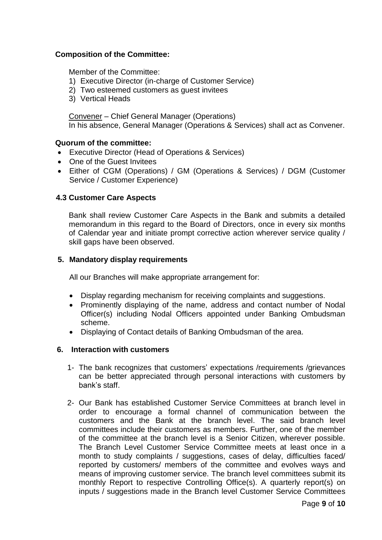## **Composition of the Committee:**

Member of the Committee:

- 1) Executive Director (in-charge of Customer Service)
- 2) Two esteemed customers as guest invitees
- 3) Vertical Heads

Convener – Chief General Manager (Operations) In his absence, General Manager (Operations & Services) shall act as Convener.

## **Quorum of the committee:**

- Executive Director (Head of Operations & Services)
- One of the Guest Invitees
- Either of CGM (Operations) / GM (Operations & Services) / DGM (Customer Service / Customer Experience)

## **4.3 Customer Care Aspects**

Bank shall review Customer Care Aspects in the Bank and submits a detailed memorandum in this regard to the Board of Directors, once in every six months of Calendar year and initiate prompt corrective action wherever service quality / skill gaps have been observed.

## **5. Mandatory display requirements**

All our Branches will make appropriate arrangement for:

- Display regarding mechanism for receiving complaints and suggestions.
- Prominently displaying of the name, address and contact number of Nodal Officer(s) including Nodal Officers appointed under Banking Ombudsman scheme.
- Displaying of Contact details of Banking Ombudsman of the area.

#### **6. Interaction with customers**

- 1- The bank recognizes that customers' expectations /requirements /grievances can be better appreciated through personal interactions with customers by bank's staff.
- 2- Our Bank has established Customer Service Committees at branch level in order to encourage a formal channel of communication between the customers and the Bank at the branch level. The said branch level committees include their customers as members. Further, one of the member of the committee at the branch level is a Senior Citizen, wherever possible. The Branch Level Customer Service Committee meets at least once in a month to study complaints / suggestions, cases of delay, difficulties faced/ reported by customers/ members of the committee and evolves ways and means of improving customer service. The branch level committees submit its monthly Report to respective Controlling Office(s). A quarterly report(s) on inputs / suggestions made in the Branch level Customer Service Committees